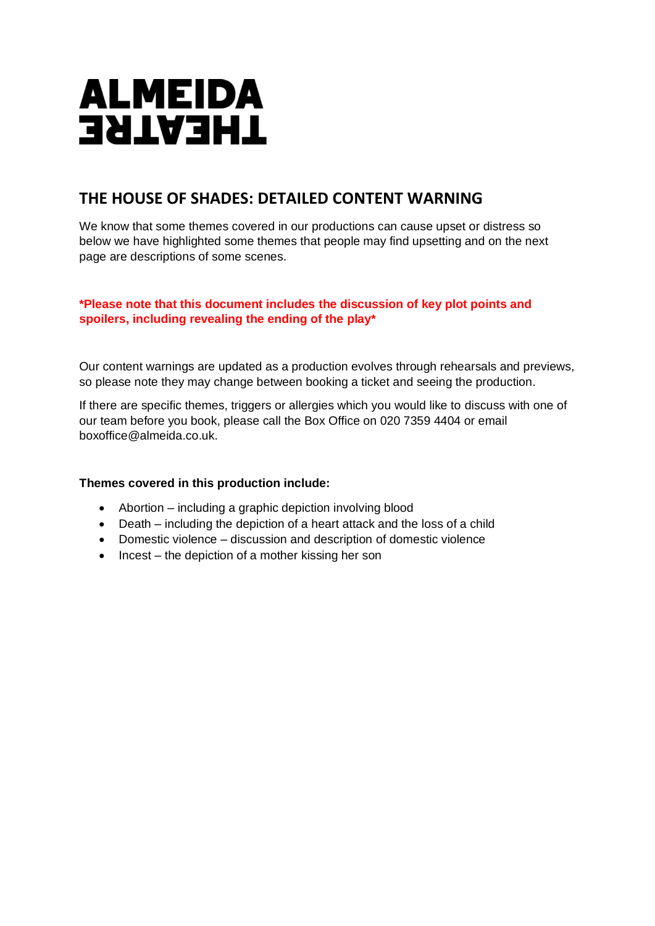# **ALMEIDA THEATRE**

## **THE HOUSE OF SHADES: DETAILED CONTENT WARNING**

We know that some themes covered in our productions can cause upset or distress so below we have highlighted some themes that people may find upsetting and on the next page are descriptions of some scenes.

## **\*Please note that this document includes the discussion of key plot points and spoilers, including revealing the ending of the play\***

Our content warnings are updated as a production evolves through rehearsals and previews, so please note they may change between booking a ticket and seeing the production.

If there are specific themes, triggers or allergies which you would like to discuss with one of our team before you book, please call the Box Office on 020 7359 4404 or email boxoffice@almeida.co.uk.

## **Themes covered in this production include:**

- Abortion including a graphic depiction involving blood
- Death including the depiction of a heart attack and the loss of a child
- Domestic violence discussion and description of domestic violence
- Incest the depiction of a mother kissing her son